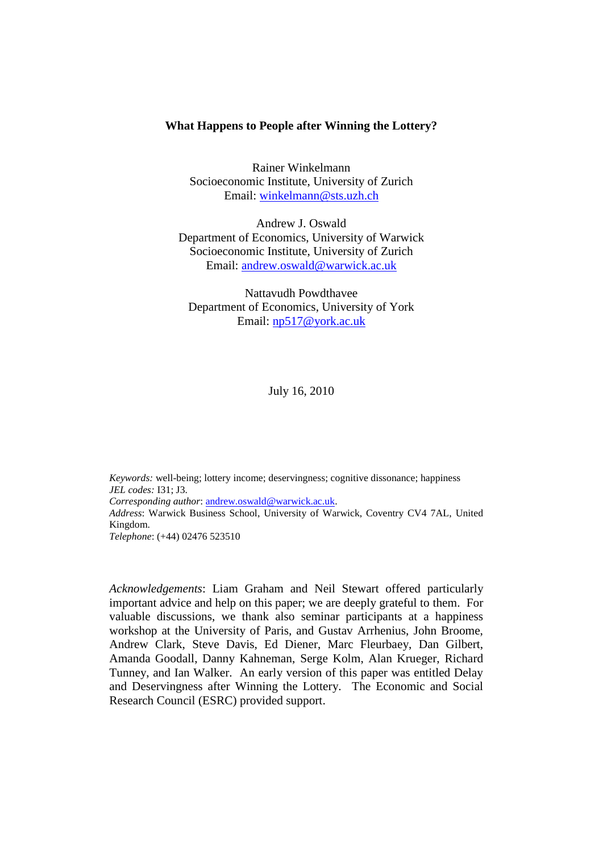#### **What Happens to People after Winning the Lottery?**

Rainer Winkelmann Socioeconomic Institute, University of Zurich Email: [winkelmann@sts.uzh.ch](mailto:winkelmann@sts.uzh.ch)

Andrew J. Oswald Department of Economics, University of Warwick Socioeconomic Institute, University of Zurich Email: [andrew.oswald@warwick.ac.uk](mailto:andrew.oswald@warwick.ac.uk)

Nattavudh Powdthavee Department of Economics, University of York Email: [np517@york.ac.uk](mailto:np517@york.ac.uk)

July 16, 2010

*Keywords:* well-being; lottery income; deservingness; cognitive dissonance; happiness *JEL codes:* I31; J3. *Corresponding author*: [andrew.oswald@warwick.ac.uk.](mailto:andrew.oswald@warwick.ac.uk) *Address*: Warwick Business School, University of Warwick, Coventry CV4 7AL, United Kingdom. *Telephone*: (+44) 02476 523510

*Acknowledgements*: Liam Graham and Neil Stewart offered particularly important advice and help on this paper; we are deeply grateful to them. For valuable discussions, we thank also seminar participants at a happiness workshop at the University of Paris, and Gustav Arrhenius, John Broome, Andrew Clark, Steve Davis, Ed Diener, Marc Fleurbaey, Dan Gilbert, Amanda Goodall, Danny Kahneman, Serge Kolm, Alan Krueger, Richard Tunney, and Ian Walker. An early version of this paper was entitled Delay and Deservingness after Winning the Lottery. The Economic and Social Research Council (ESRC) provided support.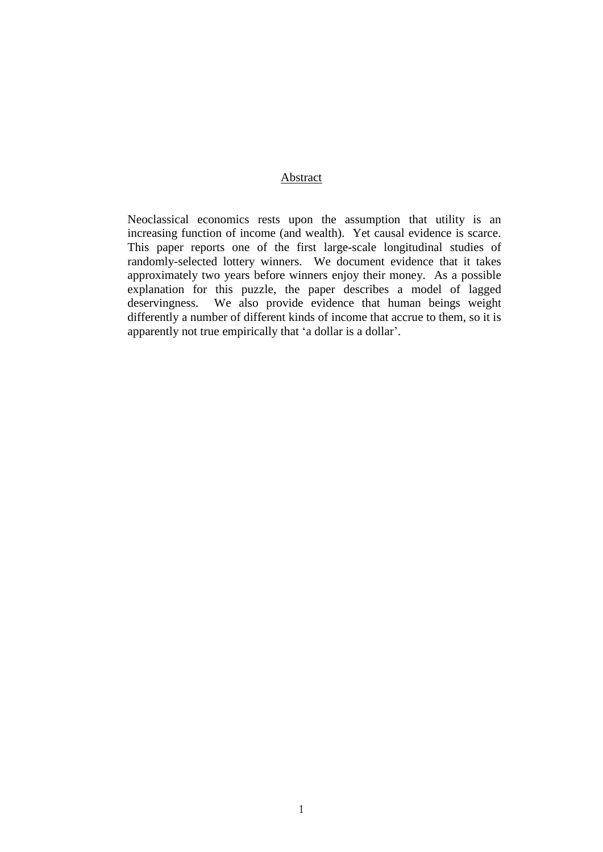## Abstract

Neoclassical economics rests upon the assumption that utility is an increasing function of income (and wealth). Yet causal evidence is scarce. This paper reports one of the first large-scale longitudinal studies of randomly-selected lottery winners. We document evidence that it takes approximately two years before winners enjoy their money. As a possible explanation for this puzzle, the paper describes a model of lagged deservingness. We also provide evidence that human beings weight We also provide evidence that human beings weight differently a number of different kinds of income that accrue to them, so it is apparently not true empirically that 'a dollar is a dollar'.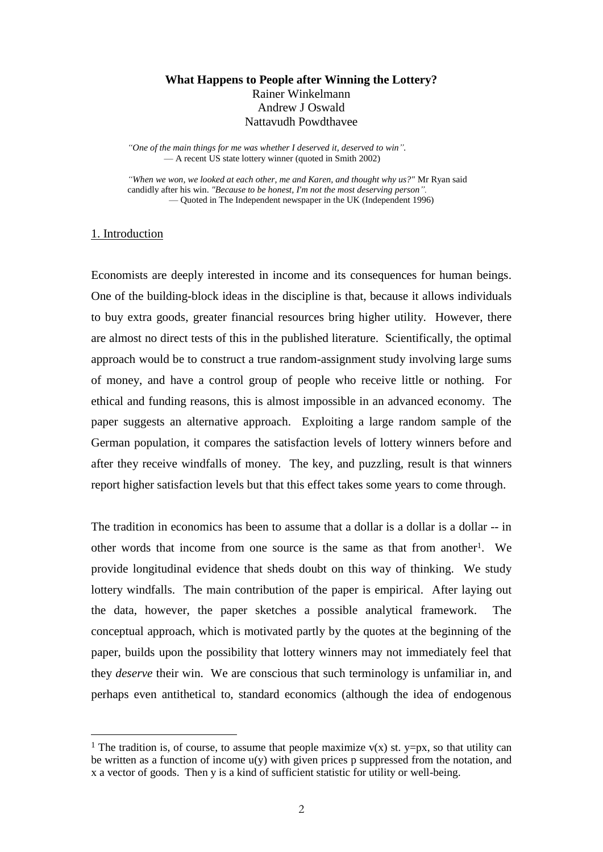# **What Happens to People after Winning the Lottery?** Rainer Winkelmann Andrew J Oswald Nattavudh Powdthavee

*"One of the main things for me was whether I deserved it, deserved to win".* — A recent US state lottery winner (quoted in Smith 2002)

*"When we won, we looked at each other, me and Karen, and thought why us?"* Mr Ryan said candidly after his win. *"Because to be honest, I'm not the most deserving person".* — Quoted in The Independent newspaper in the UK (Independent 1996)

### 1. Introduction

<u>.</u>

Economists are deeply interested in income and its consequences for human beings. One of the building-block ideas in the discipline is that, because it allows individuals to buy extra goods, greater financial resources bring higher utility. However, there are almost no direct tests of this in the published literature. Scientifically, the optimal approach would be to construct a true random-assignment study involving large sums of money, and have a control group of people who receive little or nothing. For ethical and funding reasons, this is almost impossible in an advanced economy. The paper suggests an alternative approach. Exploiting a large random sample of the German population, it compares the satisfaction levels of lottery winners before and after they receive windfalls of money. The key, and puzzling, result is that winners report higher satisfaction levels but that this effect takes some years to come through.

The tradition in economics has been to assume that a dollar is a dollar is a dollar -- in other words that income from one source is the same as that from another1. We provide longitudinal evidence that sheds doubt on this way of thinking. We study lottery windfalls. The main contribution of the paper is empirical. After laying out the data, however, the paper sketches a possible analytical framework. The conceptual approach, which is motivated partly by the quotes at the beginning of the paper, builds upon the possibility that lottery winners may not immediately feel that they *deserve* their win. We are conscious that such terminology is unfamiliar in, and perhaps even antithetical to, standard economics (although the idea of endogenous

<sup>&</sup>lt;sup>1</sup> The tradition is, of course, to assume that people maximize  $v(x)$  st. y=px, so that utility can be written as a function of income  $u(y)$  with given prices p suppressed from the notation, and x a vector of goods. Then y is a kind of sufficient statistic for utility or well-being.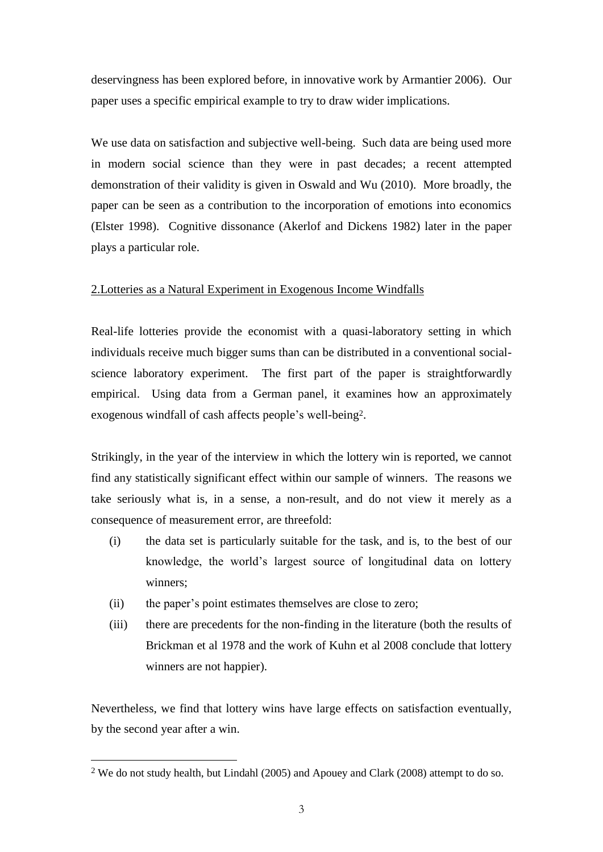deservingness has been explored before, in innovative work by Armantier 2006). Our paper uses a specific empirical example to try to draw wider implications.

We use data on satisfaction and subjective well-being. Such data are being used more in modern social science than they were in past decades; a recent attempted demonstration of their validity is given in Oswald and Wu (2010). More broadly, the paper can be seen as a contribution to the incorporation of emotions into economics (Elster 1998). Cognitive dissonance (Akerlof and Dickens 1982) later in the paper plays a particular role.

# 2.Lotteries as a Natural Experiment in Exogenous Income Windfalls

Real-life lotteries provide the economist with a quasi-laboratory setting in which individuals receive much bigger sums than can be distributed in a conventional socialscience laboratory experiment. The first part of the paper is straightforwardly empirical. Using data from a German panel, it examines how an approximately exogenous windfall of cash affects people's well-being2.

Strikingly, in the year of the interview in which the lottery win is reported, we cannot find any statistically significant effect within our sample of winners. The reasons we take seriously what is, in a sense, a non-result, and do not view it merely as a consequence of measurement error, are threefold:

- (i) the data set is particularly suitable for the task, and is, to the best of our knowledge, the world's largest source of longitudinal data on lottery winners;
- (ii) the paper's point estimates themselves are close to zero;

<u>.</u>

(iii) there are precedents for the non-finding in the literature (both the results of Brickman et al 1978 and the work of Kuhn et al 2008 conclude that lottery winners are not happier).

Nevertheless, we find that lottery wins have large effects on satisfaction eventually, by the second year after a win.

<sup>2</sup> We do not study health, but Lindahl (2005) and Apouey and Clark (2008) attempt to do so.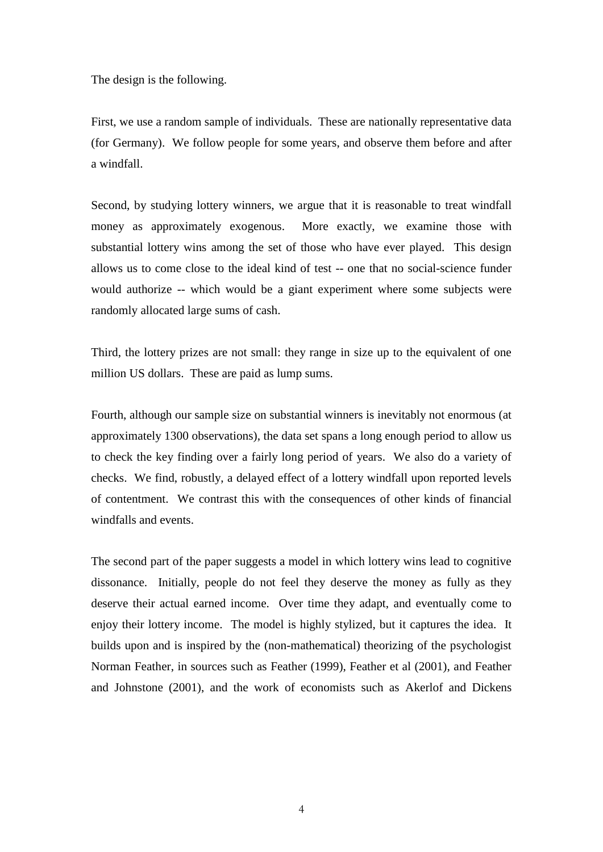The design is the following.

First, we use a random sample of individuals. These are nationally representative data (for Germany). We follow people for some years, and observe them before and after a windfall.

Second, by studying lottery winners, we argue that it is reasonable to treat windfall money as approximately exogenous. More exactly, we examine those with substantial lottery wins among the set of those who have ever played. This design allows us to come close to the ideal kind of test -- one that no social-science funder would authorize -- which would be a giant experiment where some subjects were randomly allocated large sums of cash.

Third, the lottery prizes are not small: they range in size up to the equivalent of one million US dollars. These are paid as lump sums.

Fourth, although our sample size on substantial winners is inevitably not enormous (at approximately 1300 observations), the data set spans a long enough period to allow us to check the key finding over a fairly long period of years. We also do a variety of checks. We find, robustly, a delayed effect of a lottery windfall upon reported levels of contentment. We contrast this with the consequences of other kinds of financial windfalls and events.

The second part of the paper suggests a model in which lottery wins lead to cognitive dissonance. Initially, people do not feel they deserve the money as fully as they deserve their actual earned income. Over time they adapt, and eventually come to enjoy their lottery income. The model is highly stylized, but it captures the idea. It builds upon and is inspired by the (non-mathematical) theorizing of the psychologist Norman Feather, in sources such as Feather (1999), Feather et al (2001), and Feather and Johnstone (2001), and the work of economists such as Akerlof and Dickens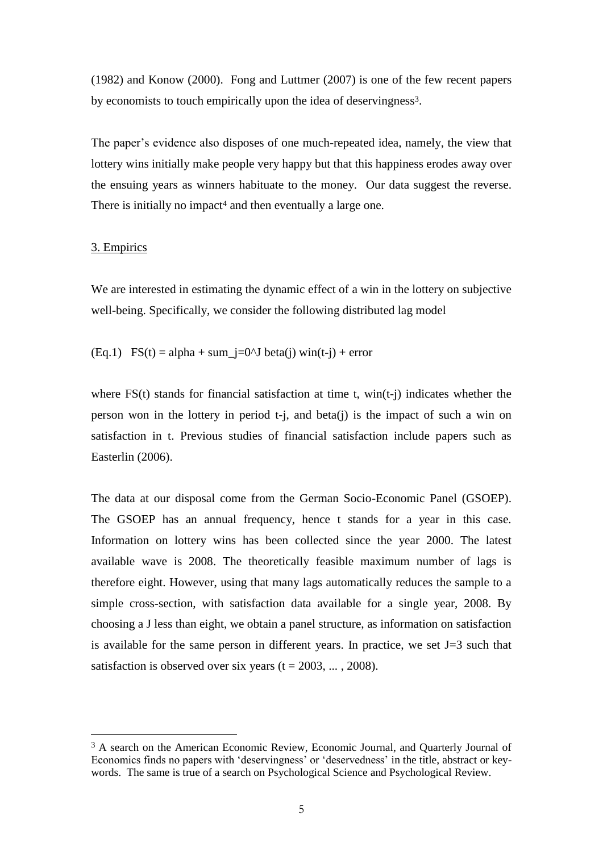(1982) and Konow (2000). Fong and Luttmer (2007) is one of the few recent papers by economists to touch empirically upon the idea of deservingness<sup>3</sup>.

The paper's evidence also disposes of one much-repeated idea, namely, the view that lottery wins initially make people very happy but that this happiness erodes away over the ensuing years as winners habituate to the money. Our data suggest the reverse. There is initially no impact<sup>4</sup> and then eventually a large one.

#### 3. Empirics

<u>.</u>

We are interested in estimating the dynamic effect of a win in the lottery on subjective well-being. Specifically, we consider the following distributed lag model

(Eq.1)  $FS(t) = alpha + sum_i=0^J beta(i) win(t-i) + error$ 

where FS(t) stands for financial satisfaction at time t, win(t-j) indicates whether the person won in the lottery in period t-j, and beta(j) is the impact of such a win on satisfaction in t. Previous studies of financial satisfaction include papers such as Easterlin (2006).

The data at our disposal come from the German Socio-Economic Panel (GSOEP). The GSOEP has an annual frequency, hence t stands for a year in this case. Information on lottery wins has been collected since the year 2000. The latest available wave is 2008. The theoretically feasible maximum number of lags is therefore eight. However, using that many lags automatically reduces the sample to a simple cross-section, with satisfaction data available for a single year, 2008. By choosing a J less than eight, we obtain a panel structure, as information on satisfaction is available for the same person in different years. In practice, we set  $J=3$  such that satisfaction is observed over six years  $(t = 2003, \dots, 2008)$ .

<sup>&</sup>lt;sup>3</sup> A search on the American Economic Review, Economic Journal, and Quarterly Journal of Economics finds no papers with 'deservingness' or 'deservedness' in the title, abstract or keywords. The same is true of a search on Psychological Science and Psychological Review.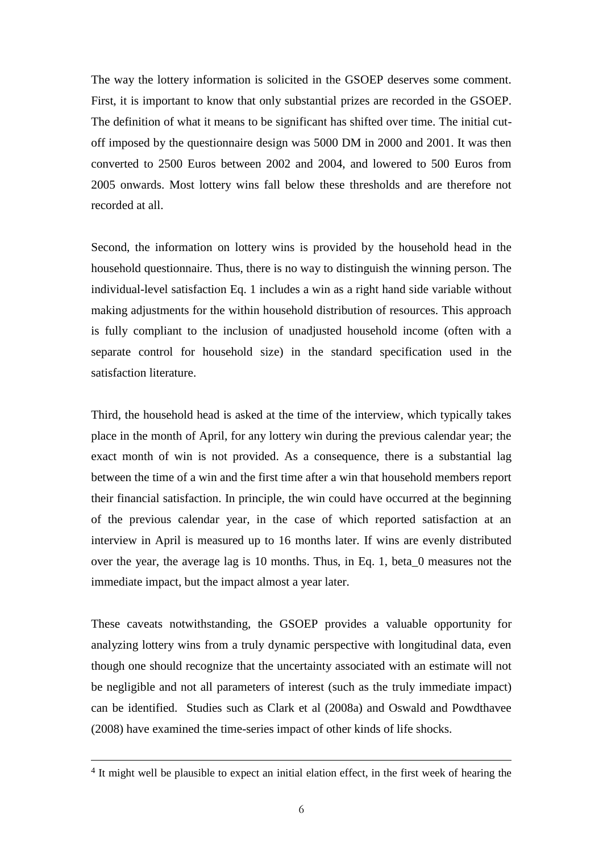The way the lottery information is solicited in the GSOEP deserves some comment. First, it is important to know that only substantial prizes are recorded in the GSOEP. The definition of what it means to be significant has shifted over time. The initial cutoff imposed by the questionnaire design was 5000 DM in 2000 and 2001. It was then converted to 2500 Euros between 2002 and 2004, and lowered to 500 Euros from 2005 onwards. Most lottery wins fall below these thresholds and are therefore not recorded at all.

Second, the information on lottery wins is provided by the household head in the household questionnaire. Thus, there is no way to distinguish the winning person. The individual-level satisfaction Eq. 1 includes a win as a right hand side variable without making adjustments for the within household distribution of resources. This approach is fully compliant to the inclusion of unadjusted household income (often with a separate control for household size) in the standard specification used in the satisfaction literature.

Third, the household head is asked at the time of the interview, which typically takes place in the month of April, for any lottery win during the previous calendar year; the exact month of win is not provided. As a consequence, there is a substantial lag between the time of a win and the first time after a win that household members report their financial satisfaction. In principle, the win could have occurred at the beginning of the previous calendar year, in the case of which reported satisfaction at an interview in April is measured up to 16 months later. If wins are evenly distributed over the year, the average lag is 10 months. Thus, in Eq. 1, beta\_0 measures not the immediate impact, but the impact almost a year later.

These caveats notwithstanding, the GSOEP provides a valuable opportunity for analyzing lottery wins from a truly dynamic perspective with longitudinal data, even though one should recognize that the uncertainty associated with an estimate will not be negligible and not all parameters of interest (such as the truly immediate impact) can be identified. Studies such as Clark et al (2008a) and Oswald and Powdthavee (2008) have examined the time-series impact of other kinds of life shocks.

<u>.</u>

<sup>&</sup>lt;sup>4</sup> It might well be plausible to expect an initial elation effect, in the first week of hearing the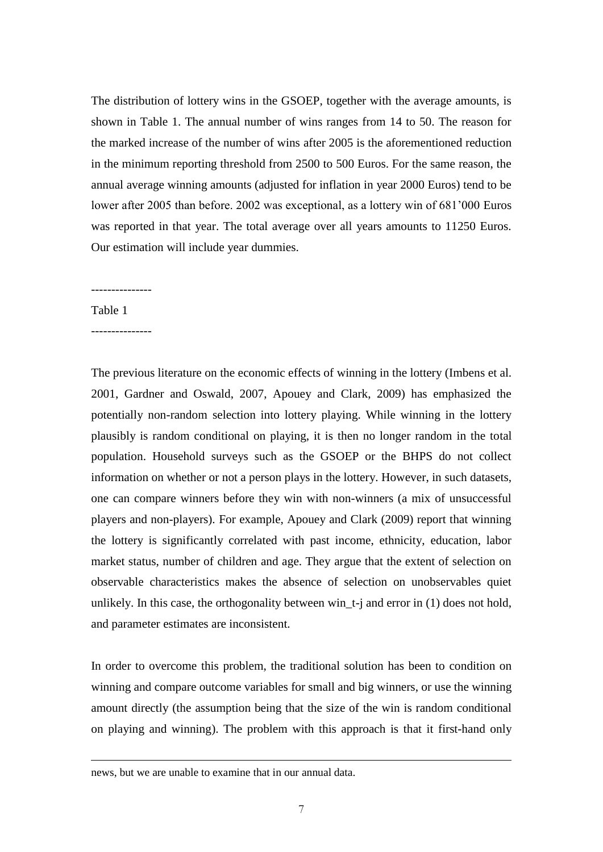The distribution of lottery wins in the GSOEP, together with the average amounts, is shown in Table 1. The annual number of wins ranges from 14 to 50. The reason for the marked increase of the number of wins after 2005 is the aforementioned reduction in the minimum reporting threshold from 2500 to 500 Euros. For the same reason, the annual average winning amounts (adjusted for inflation in year 2000 Euros) tend to be lower after 2005 than before. 2002 was exceptional, as a lottery win of 681'000 Euros was reported in that year. The total average over all years amounts to 11250 Euros. Our estimation will include year dummies.

---------------

Table 1

1

---------------

The previous literature on the economic effects of winning in the lottery (Imbens et al. 2001, Gardner and Oswald, 2007, Apouey and Clark, 2009) has emphasized the potentially non-random selection into lottery playing. While winning in the lottery plausibly is random conditional on playing, it is then no longer random in the total population. Household surveys such as the GSOEP or the BHPS do not collect information on whether or not a person plays in the lottery. However, in such datasets, one can compare winners before they win with non-winners (a mix of unsuccessful players and non-players). For example, Apouey and Clark (2009) report that winning the lottery is significantly correlated with past income, ethnicity, education, labor market status, number of children and age. They argue that the extent of selection on observable characteristics makes the absence of selection on unobservables quiet unlikely. In this case, the orthogonality between win\_t-j and error in (1) does not hold, and parameter estimates are inconsistent.

In order to overcome this problem, the traditional solution has been to condition on winning and compare outcome variables for small and big winners, or use the winning amount directly (the assumption being that the size of the win is random conditional on playing and winning). The problem with this approach is that it first-hand only

news, but we are unable to examine that in our annual data.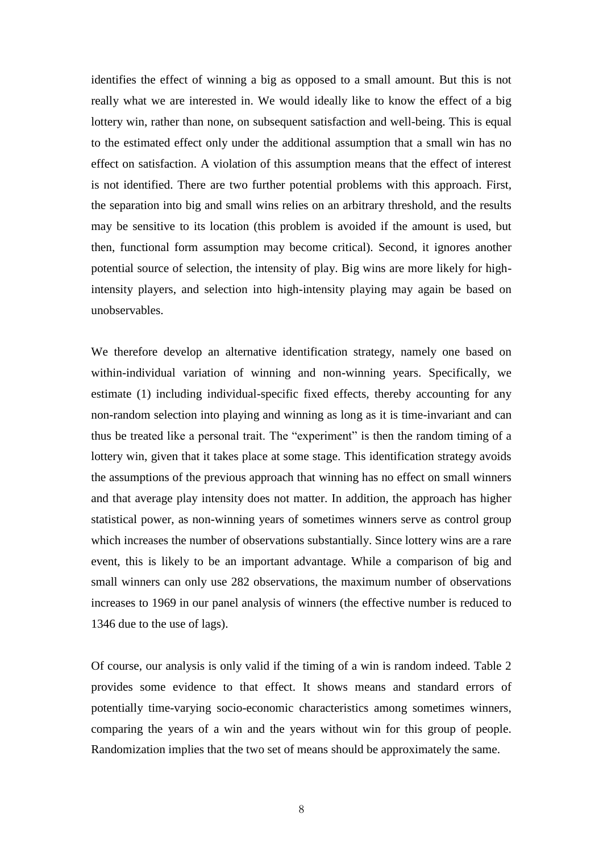identifies the effect of winning a big as opposed to a small amount. But this is not really what we are interested in. We would ideally like to know the effect of a big lottery win, rather than none, on subsequent satisfaction and well-being. This is equal to the estimated effect only under the additional assumption that a small win has no effect on satisfaction. A violation of this assumption means that the effect of interest is not identified. There are two further potential problems with this approach. First, the separation into big and small wins relies on an arbitrary threshold, and the results may be sensitive to its location (this problem is avoided if the amount is used, but then, functional form assumption may become critical). Second, it ignores another potential source of selection, the intensity of play. Big wins are more likely for highintensity players, and selection into high-intensity playing may again be based on unobservables.

We therefore develop an alternative identification strategy, namely one based on within-individual variation of winning and non-winning years. Specifically, we estimate (1) including individual-specific fixed effects, thereby accounting for any non-random selection into playing and winning as long as it is time-invariant and can thus be treated like a personal trait. The "experiment" is then the random timing of a lottery win, given that it takes place at some stage. This identification strategy avoids the assumptions of the previous approach that winning has no effect on small winners and that average play intensity does not matter. In addition, the approach has higher statistical power, as non-winning years of sometimes winners serve as control group which increases the number of observations substantially. Since lottery wins are a rare event, this is likely to be an important advantage. While a comparison of big and small winners can only use 282 observations, the maximum number of observations increases to 1969 in our panel analysis of winners (the effective number is reduced to 1346 due to the use of lags).

Of course, our analysis is only valid if the timing of a win is random indeed. Table 2 provides some evidence to that effect. It shows means and standard errors of potentially time-varying socio-economic characteristics among sometimes winners, comparing the years of a win and the years without win for this group of people. Randomization implies that the two set of means should be approximately the same.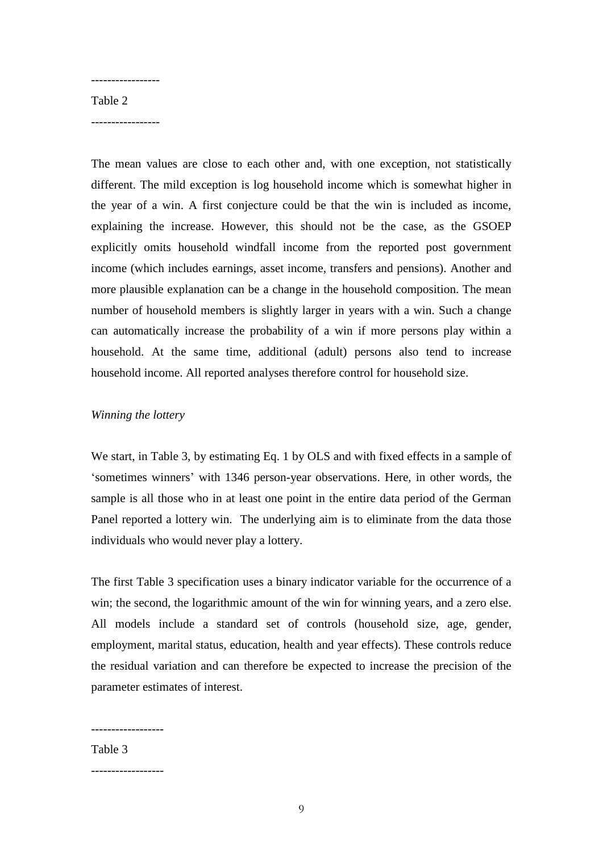#### Table 2

-----------------

-----------------

The mean values are close to each other and, with one exception, not statistically different. The mild exception is log household income which is somewhat higher in the year of a win. A first conjecture could be that the win is included as income, explaining the increase. However, this should not be the case, as the GSOEP explicitly omits household windfall income from the reported post government income (which includes earnings, asset income, transfers and pensions). Another and more plausible explanation can be a change in the household composition. The mean number of household members is slightly larger in years with a win. Such a change can automatically increase the probability of a win if more persons play within a household. At the same time, additional (adult) persons also tend to increase household income. All reported analyses therefore control for household size.

### *Winning the lottery*

We start, in Table 3, by estimating Eq. 1 by OLS and with fixed effects in a sample of ‗sometimes winners' with 1346 person-year observations. Here, in other words, the sample is all those who in at least one point in the entire data period of the German Panel reported a lottery win. The underlying aim is to eliminate from the data those individuals who would never play a lottery.

The first Table 3 specification uses a binary indicator variable for the occurrence of a win; the second, the logarithmic amount of the win for winning years, and a zero else. All models include a standard set of controls (household size, age, gender, employment, marital status, education, health and year effects). These controls reduce the residual variation and can therefore be expected to increase the precision of the parameter estimates of interest.

------------------

Table 3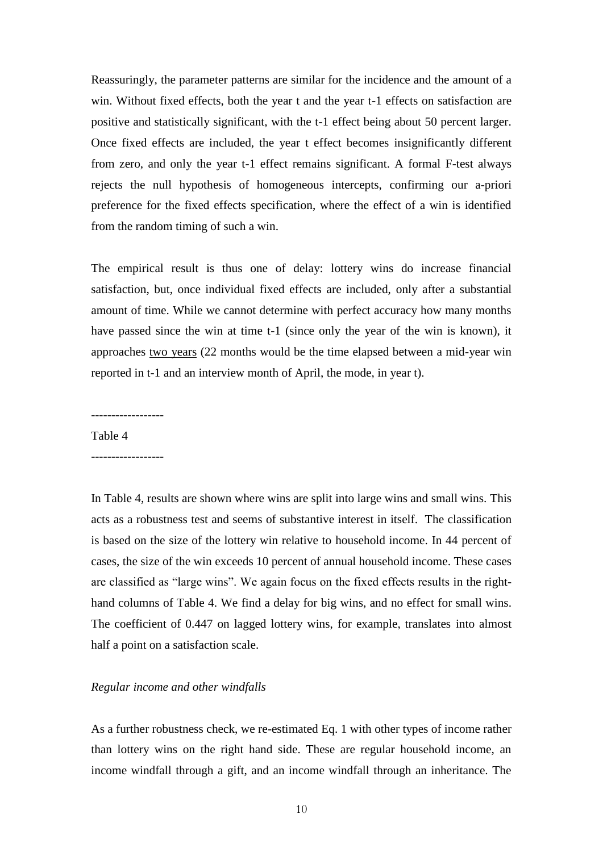Reassuringly, the parameter patterns are similar for the incidence and the amount of a win. Without fixed effects, both the year t and the year t-1 effects on satisfaction are positive and statistically significant, with the t-1 effect being about 50 percent larger. Once fixed effects are included, the year t effect becomes insignificantly different from zero, and only the year t-1 effect remains significant. A formal F-test always rejects the null hypothesis of homogeneous intercepts, confirming our a-priori preference for the fixed effects specification, where the effect of a win is identified from the random timing of such a win.

The empirical result is thus one of delay: lottery wins do increase financial satisfaction, but, once individual fixed effects are included, only after a substantial amount of time. While we cannot determine with perfect accuracy how many months have passed since the win at time t-1 (since only the year of the win is known), it approaches two years (22 months would be the time elapsed between a mid-year win reported in t-1 and an interview month of April, the mode, in year t).

------------------

Table 4

------------------

In Table 4, results are shown where wins are split into large wins and small wins. This acts as a robustness test and seems of substantive interest in itself. The classification is based on the size of the lottery win relative to household income. In 44 percent of cases, the size of the win exceeds 10 percent of annual household income. These cases are classified as "large wins". We again focus on the fixed effects results in the righthand columns of Table 4. We find a delay for big wins, and no effect for small wins. The coefficient of 0.447 on lagged lottery wins, for example, translates into almost half a point on a satisfaction scale.

#### *Regular income and other windfalls*

As a further robustness check, we re-estimated Eq. 1 with other types of income rather than lottery wins on the right hand side. These are regular household income, an income windfall through a gift, and an income windfall through an inheritance. The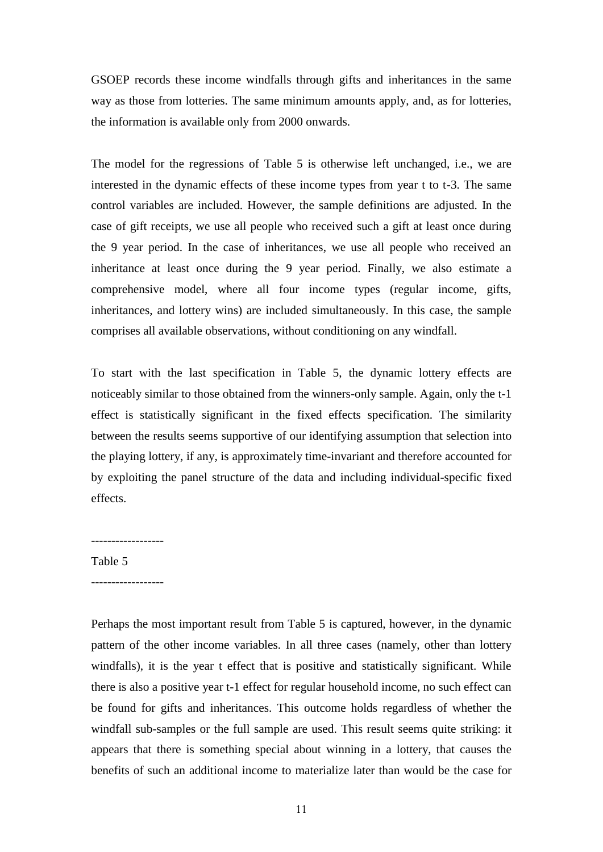GSOEP records these income windfalls through gifts and inheritances in the same way as those from lotteries. The same minimum amounts apply, and, as for lotteries, the information is available only from 2000 onwards.

The model for the regressions of Table 5 is otherwise left unchanged, i.e., we are interested in the dynamic effects of these income types from year t to t-3. The same control variables are included. However, the sample definitions are adjusted. In the case of gift receipts, we use all people who received such a gift at least once during the 9 year period. In the case of inheritances, we use all people who received an inheritance at least once during the 9 year period. Finally, we also estimate a comprehensive model, where all four income types (regular income, gifts, inheritances, and lottery wins) are included simultaneously. In this case, the sample comprises all available observations, without conditioning on any windfall.

To start with the last specification in Table 5, the dynamic lottery effects are noticeably similar to those obtained from the winners-only sample. Again, only the t-1 effect is statistically significant in the fixed effects specification. The similarity between the results seems supportive of our identifying assumption that selection into the playing lottery, if any, is approximately time-invariant and therefore accounted for by exploiting the panel structure of the data and including individual-specific fixed effects.

# Table 5

------------------

Perhaps the most important result from Table 5 is captured, however, in the dynamic pattern of the other income variables. In all three cases (namely, other than lottery windfalls), it is the year t effect that is positive and statistically significant. While there is also a positive year t-1 effect for regular household income, no such effect can be found for gifts and inheritances. This outcome holds regardless of whether the windfall sub-samples or the full sample are used. This result seems quite striking: it appears that there is something special about winning in a lottery, that causes the benefits of such an additional income to materialize later than would be the case for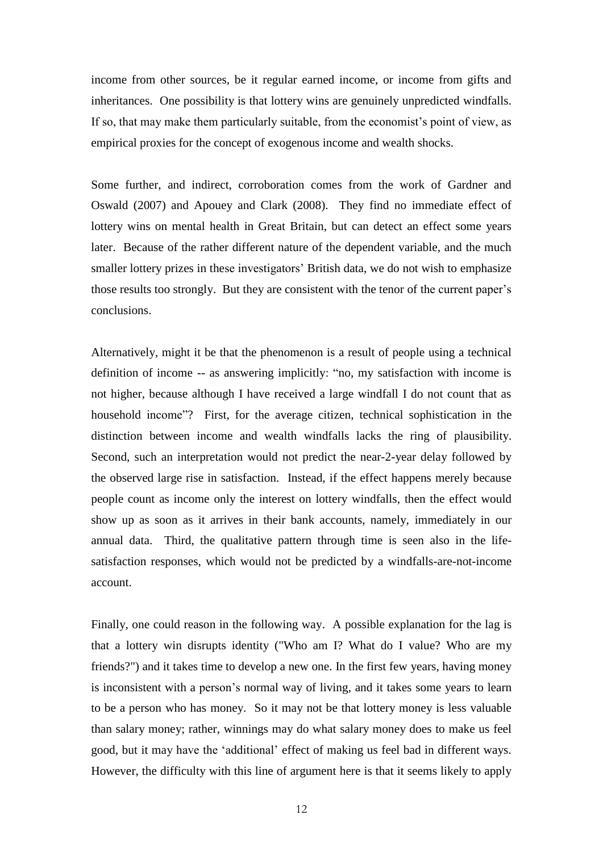income from other sources, be it regular earned income, or income from gifts and inheritances. One possibility is that lottery wins are genuinely unpredicted windfalls. If so, that may make them particularly suitable, from the economist's point of view, as empirical proxies for the concept of exogenous income and wealth shocks.

Some further, and indirect, corroboration comes from the work of Gardner and Oswald (2007) and Apouey and Clark (2008). They find no immediate effect of lottery wins on mental health in Great Britain, but can detect an effect some years later. Because of the rather different nature of the dependent variable, and the much smaller lottery prizes in these investigators' British data, we do not wish to emphasize those results too strongly. But they are consistent with the tenor of the current paper's conclusions.

Alternatively, might it be that the phenomenon is a result of people using a technical definition of income -- as answering implicitly: "no, my satisfaction with income is not higher, because although I have received a large windfall I do not count that as household income"? First, for the average citizen, technical sophistication in the distinction between income and wealth windfalls lacks the ring of plausibility. Second, such an interpretation would not predict the near-2-year delay followed by the observed large rise in satisfaction. Instead, if the effect happens merely because people count as income only the interest on lottery windfalls, then the effect would show up as soon as it arrives in their bank accounts, namely, immediately in our annual data. Third, the qualitative pattern through time is seen also in the lifesatisfaction responses, which would not be predicted by a windfalls-are-not-income account.

Finally, one could reason in the following way. A possible explanation for the lag is that a lottery win disrupts identity ("Who am I? What do I value? Who are my friends?") and it takes time to develop a new one. In the first few years, having money is inconsistent with a person's normal way of living, and it takes some years to learn to be a person who has money. So it may not be that lottery money is less valuable than salary money; rather, winnings may do what salary money does to make us feel good, but it may have the ‗additional' effect of making us feel bad in different ways. However, the difficulty with this line of argument here is that it seems likely to apply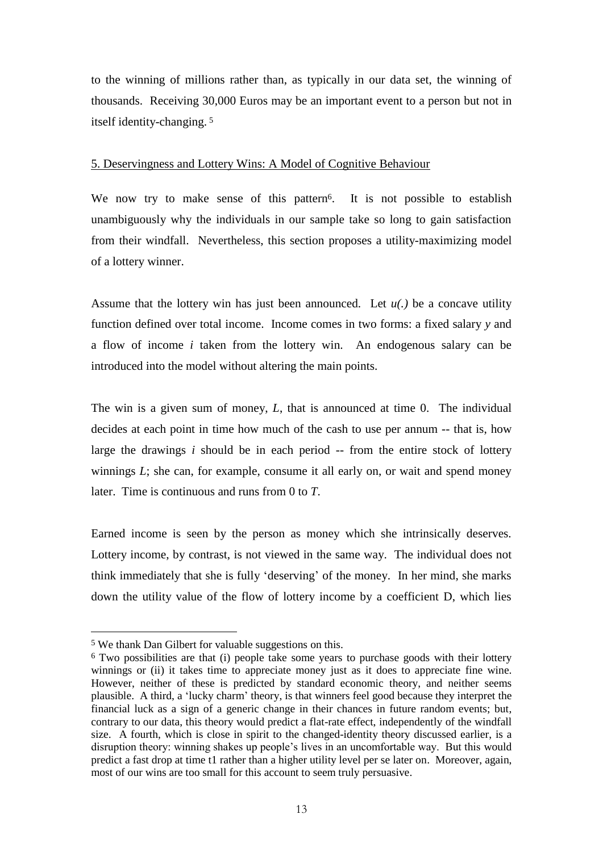to the winning of millions rather than, as typically in our data set, the winning of thousands. Receiving 30,000 Euros may be an important event to a person but not in itself identity-changing. <sup>5</sup>

## 5. Deservingness and Lottery Wins: A Model of Cognitive Behaviour

We now try to make sense of this pattern<sup>6</sup>. It is not possible to establish unambiguously why the individuals in our sample take so long to gain satisfaction from their windfall. Nevertheless, this section proposes a utility-maximizing model of a lottery winner.

Assume that the lottery win has just been announced. Let  $u(.)$  be a concave utility function defined over total income. Income comes in two forms: a fixed salary *y* and a flow of income *i* taken from the lottery win. An endogenous salary can be introduced into the model without altering the main points.

The win is a given sum of money, *L*, that is announced at time 0. The individual decides at each point in time how much of the cash to use per annum -- that is, how large the drawings *i* should be in each period -- from the entire stock of lottery winnings *L*; she can, for example, consume it all early on, or wait and spend money later. Time is continuous and runs from 0 to *T*.

Earned income is seen by the person as money which she intrinsically deserves. Lottery income, by contrast, is not viewed in the same way. The individual does not think immediately that she is fully 'deserving' of the money. In her mind, she marks down the utility value of the flow of lottery income by a coefficient D, which lies

<u>.</u>

<sup>5</sup> We thank Dan Gilbert for valuable suggestions on this.

<sup>6</sup> Two possibilities are that (i) people take some years to purchase goods with their lottery winnings or (ii) it takes time to appreciate money just as it does to appreciate fine wine. However, neither of these is predicted by standard economic theory, and neither seems plausible. A third, a ‗lucky charm' theory, is that winners feel good because they interpret the financial luck as a sign of a generic change in their chances in future random events; but, contrary to our data, this theory would predict a flat-rate effect, independently of the windfall size. A fourth, which is close in spirit to the changed-identity theory discussed earlier, is a disruption theory: winning shakes up people's lives in an uncomfortable way. But this would predict a fast drop at time t1 rather than a higher utility level per se later on. Moreover, again, most of our wins are too small for this account to seem truly persuasive.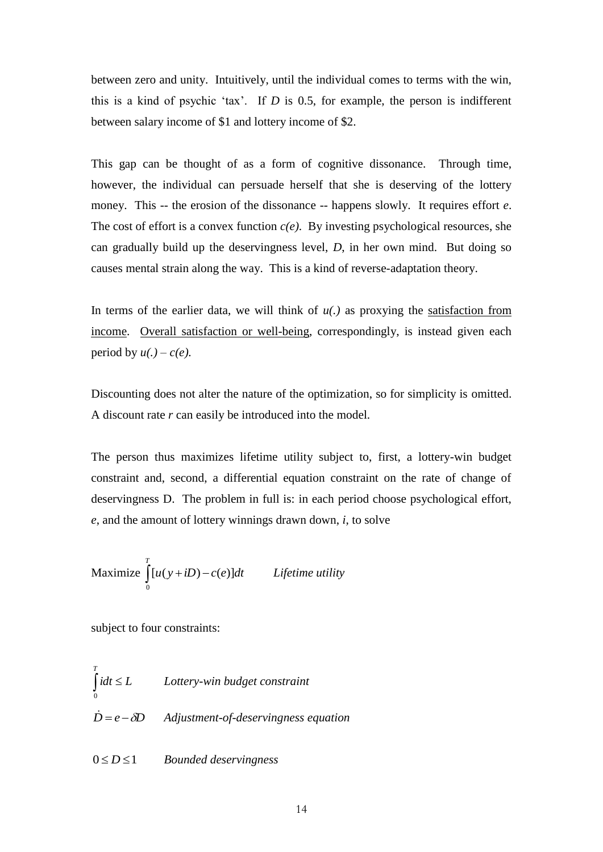between zero and unity. Intuitively, until the individual comes to terms with the win, this is a kind of psychic 'tax'. If  $D$  is 0.5, for example, the person is indifferent between salary income of \$1 and lottery income of \$2.

This gap can be thought of as a form of cognitive dissonance. Through time, however, the individual can persuade herself that she is deserving of the lottery money. This -- the erosion of the dissonance -- happens slowly. It requires effort *e*. The cost of effort is a convex function  $c(e)$ . By investing psychological resources, she can gradually build up the deservingness level, *D*, in her own mind. But doing so causes mental strain along the way. This is a kind of reverse-adaptation theory.

In terms of the earlier data, we will think of *u(.)* as proxying the satisfaction from income. Overall satisfaction or well-being, correspondingly, is instead given each period by  $u(.) - c(e)$ .

Discounting does not alter the nature of the optimization, so for simplicity is omitted. A discount rate *r* can easily be introduced into the model.

The person thus maximizes lifetime utility subject to, first, a lottery-win budget constraint and, second, a differential equation constraint on the rate of change of deservingness D. The problem in full is: in each period choose psychological effort, *e*, and the amount of lottery winnings drawn down, *i*, to solve

Maximize 
$$
\int_{0}^{T} [u(y+iD)-c(e)]dt
$$
 *Lifetime utility*

subject to four constraints:

 $idt \leq L$ *T*  $\int_0 idt \leq$ *Lottery-win budget constraint*  $\dot{D} = e - \delta D$  Adjustment-of-deservingness equation

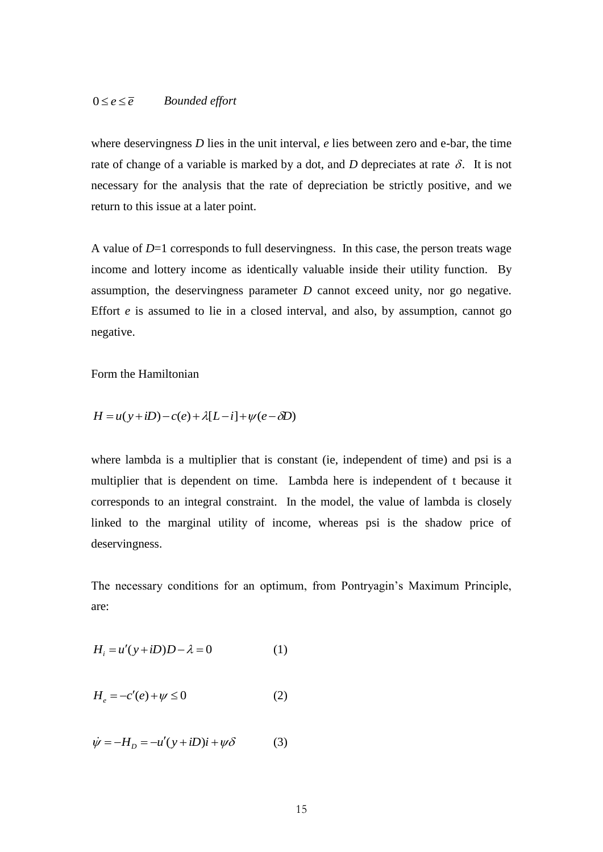#### $0 \le e \le \overline{e}$  *Bounded effort*

where deservingness *D* lies in the unit interval, *e* lies between zero and e-bar, the time rate of change of a variable is marked by a dot, and  $D$  depreciates at rate  $\delta$ . It is not necessary for the analysis that the rate of depreciation be strictly positive, and we return to this issue at a later point.

 $0 \le e \le \bar{e}$  *Bounded effort*<br>
where deservingness *D* lies in the unit intervate of change of a variable is marked by a *i*<br>
necessary for the analysis that the rate of<br>
return to this issue at a later point.<br>
A value A value of *D*=1 corresponds to full deservingness. In this case, the person treats wage income and lottery income as identically valuable inside their utility function. By assumption, the deservingness parameter *D* cannot exceed unity, nor go negative. Effort *e* is assumed to lie in a closed interval, and also, by assumption, cannot go negative.

Form the Hamiltonian

$$
H = u(y + iD) - c(e) + \lambda[L - i] + \psi(e - \delta D)
$$

where lambda is a multiplier that is constant (ie, independent of time) and psi is a multiplier that is dependent on time. Lambda here is independent of t because it corresponds to an integral constraint. In the model, the value of lambda is closely linked to the marginal utility of income, whereas psi is the shadow price of deservingness.

The necessary conditions for an optimum, from Pontryagin's Maximum Principle, are:

$$
H_i = u'(y + iD)D - \lambda = 0 \tag{1}
$$

$$
H_e = -c'(e) + \psi \le 0\tag{2}
$$

$$
\dot{\psi} = -H_D = -u'(y + iD)\dot{i} + \psi \delta \tag{3}
$$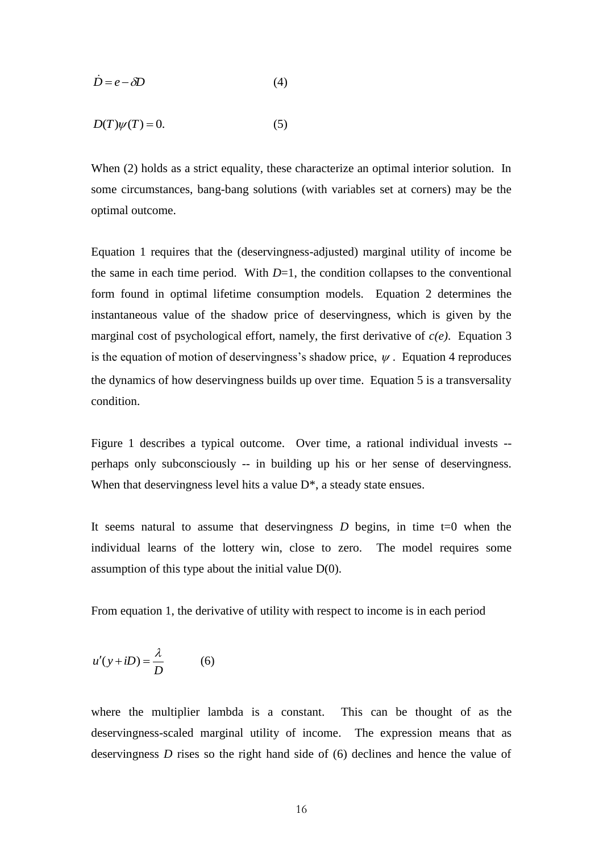$$
\dot{D} = e - \delta D \tag{4}
$$

$$
D(T)\psi(T) = 0.\tag{5}
$$

When (2) holds as a strict equality, these characterize an optimal interior solution. In some circumstances, bang-bang solutions (with variables set at corners) may be the optimal outcome.

*D* = *e* -  $\partial$ *D* (4)<br> *D(T)* $\psi$ (*T*) = 0. (5)<br>
When (2) holds as a strict equality, these ch<br>
some circumstances, bang-bang solutions (<br>
Equation 1 requires that the (deservingness)<br>
the same in each time period. With Equation 1 requires that the (deservingness-adjusted) marginal utility of income be the same in each time period. With  $D=1$ , the condition collapses to the conventional form found in optimal lifetime consumption models. Equation 2 determines the instantaneous value of the shadow price of deservingness, which is given by the marginal cost of psychological effort, namely, the first derivative of *c(e)*. Equation 3 is the equation of motion of deservingness's shadow price,  $\psi$ . Equation 4 reproduces the dynamics of how deservingness builds up over time. Equation 5 is a transversality condition.

Figure 1 describes a typical outcome. Over time, a rational individual invests - perhaps only subconsciously -- in building up his or her sense of deservingness. When that deservingness level hits a value  $D^*$ , a steady state ensues.

It seems natural to assume that deservingness  $D$  begins, in time  $t=0$  when the individual learns of the lottery win, close to zero. The model requires some assumption of this type about the initial value  $D(0)$ .

From equation 1, the derivative of utility with respect to income is in each period

$$
u'(y+iD) = \frac{\lambda}{D} \tag{6}
$$

where the multiplier lambda is a constant. This can be thought of as the deservingness-scaled marginal utility of income. The expression means that as deservingness *D* rises so the right hand side of (6) declines and hence the value of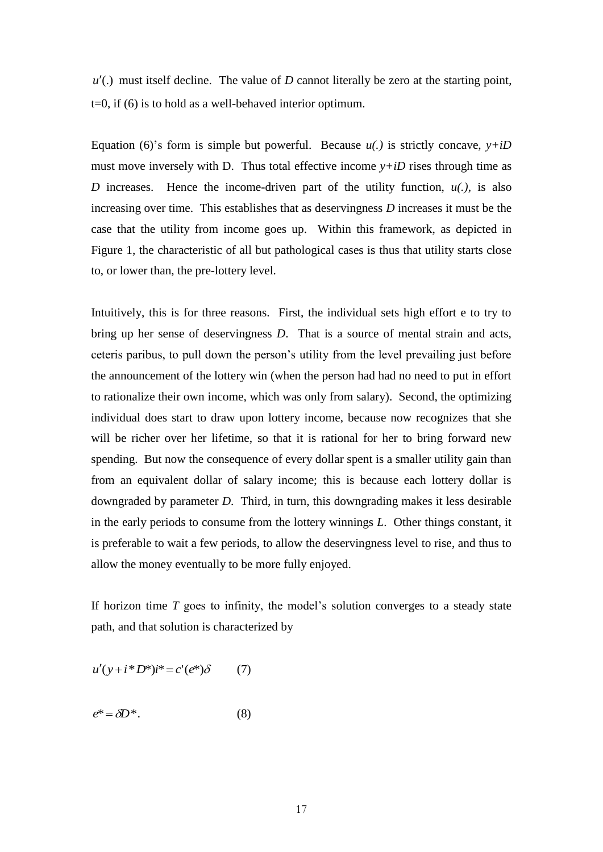(.) must itself decline. The value of *D* cannot literally be zero at the starting point, t=0, if (6) is to hold as a well-behaved interior optimum.

Equation (6)'s form is simple but powerful. Because  $u(.)$  is strictly concave,  $y+iD$ must move inversely with D. Thus total effective income  $y+iD$  rises through time as *D* increases. Hence the income-driven part of the utility function,  $u(.)$ , is also increasing over time. This establishes that as deservingness *D* increases it must be the case that the utility from income goes up. Within this framework, as depicted in Figure 1, the characteristic of all but pathological cases is thus that utility starts close to, or lower than, the pre-lottery level.

 $u'(.)$  must itself decline. The value of *D* ca<br>  $u(.)$  must itself decline. The value of *D* ca<br>  $=0$ , if (6) is to hold as a well-behaved interia-<br>
Equation (6)'s form is simple but powerful<br>
must move inversely with *D*. Intuitively, this is for three reasons. First, the individual sets high effort e to try to bring up her sense of deservingness *D*. That is a source of mental strain and acts, ceteris paribus, to pull down the person's utility from the level prevailing just before the announcement of the lottery win (when the person had had no need to put in effort to rationalize their own income, which was only from salary). Second, the optimizing individual does start to draw upon lottery income, because now recognizes that she will be richer over her lifetime, so that it is rational for her to bring forward new spending. But now the consequence of every dollar spent is a smaller utility gain than from an equivalent dollar of salary income; this is because each lottery dollar is downgraded by parameter *D*. Third, in turn, this downgrading makes it less desirable in the early periods to consume from the lottery winnings *L*. Other things constant, it is preferable to wait a few periods, to allow the deservingness level to rise, and thus to allow the money eventually to be more fully enjoyed.

If horizon time *T* goes to infinity, the model's solution converges to a steady state path, and that solution is characterized by

$$
u'(y + i * D^*)i^* = c'(e^*)\delta \tag{7}
$$

$$
e^* = \delta D^*.\tag{8}
$$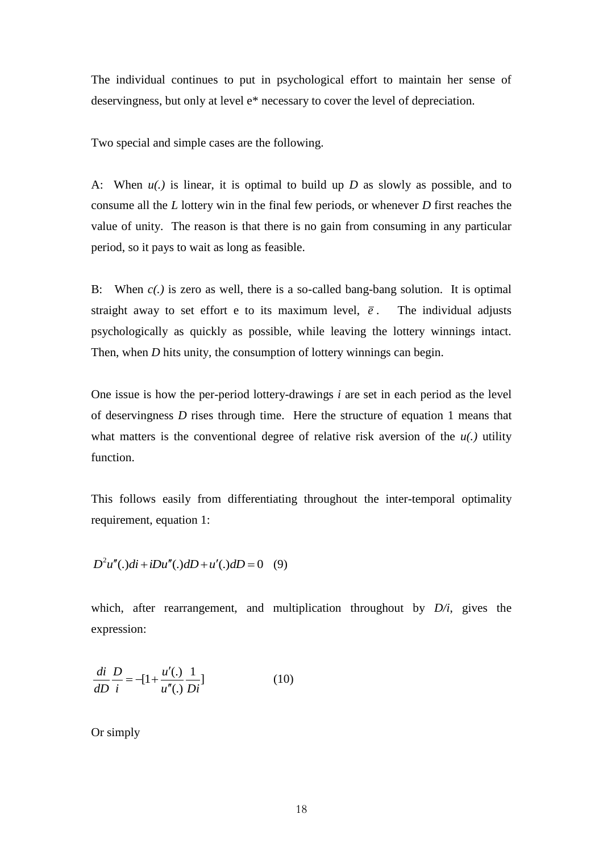The individual continues to put in psychological effort to maintain her sense of deservingness, but only at level e\* necessary to cover the level of depreciation.

Two special and simple cases are the following.

A: When *u(.)* is linear, it is optimal to build up *D* as slowly as possible, and to consume all the *L* lottery win in the final few periods, or whenever *D* first reaches the value of unity. The reason is that there is no gain from consuming in any particular period, so it pays to wait as long as feasible.

B: When *c(.)* is zero as well, there is a so-called bang-bang solution. It is optimal straight away to set effort e to its maximum level, *e* . The individual adjusts psychologically as quickly as possible, while leaving the lottery winnings intact. Then, when *D* hits unity, the consumption of lottery winnings can begin.

One issue is how the per-period lottery-drawings *i* are set in each period as the level of deservingness *D* rises through time. Here the structure of equation 1 means that what matters is the conventional degree of relative risk aversion of the  $u(.)$  utility function.

This follows easily from differentiating throughout the inter-temporal optimality requirement, equation 1:

$$
D2u''(.)di + iDu''(.)dD + u'(.)dD = 0
$$
 (9)

which, after rearrangement, and multiplication throughout by *D/i*, gives the expression:

$$
\frac{di}{dD} \frac{D}{i} = -[1 + \frac{u'(.)}{u''(.)} \frac{1}{Di}]
$$
 (10)

Or simply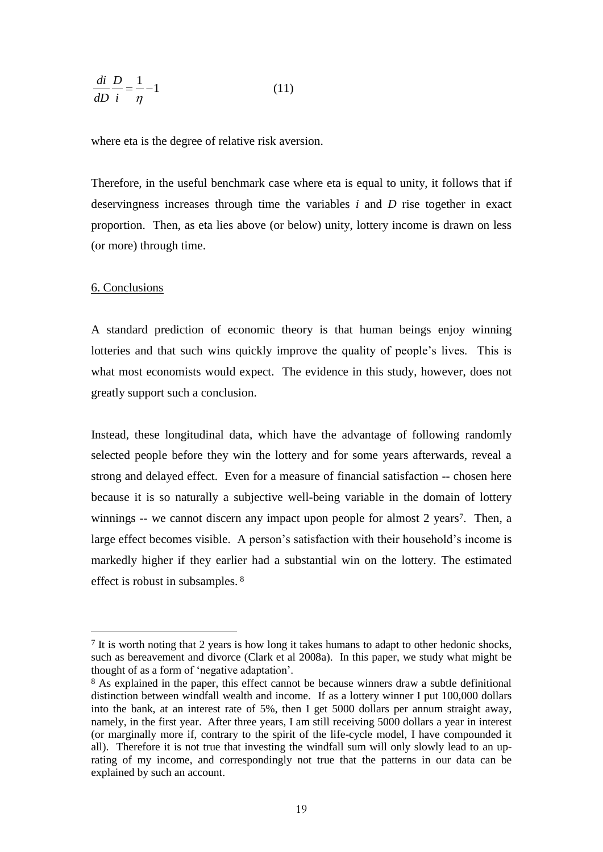$$
\frac{di}{dD}\frac{D}{i} = \frac{1}{\eta} - 1\tag{11}
$$

where eta is the degree of relative risk aversion.

Therefore, in the useful benchmark case where eta is equal to unity, it follows that if deservingness increases through time the variables *i* and *D* rise together in exact proportion. Then, as eta lies above (or below) unity, lottery income is drawn on less (or more) through time.

#### 6. Conclusions

<u>.</u>

A standard prediction of economic theory is that human beings enjoy winning lotteries and that such wins quickly improve the quality of people's lives. This is what most economists would expect. The evidence in this study, however, does not greatly support such a conclusion.

1 (11)<br>
the degree of relative risk aversi<br>
the useful benchmark case wh<br>
s increases through time the<br>
Then, as eta lies above (or belo<br>
ough time.<br>
ns<br>
ns<br>
prediction of economic theor<br>
that such wins quickly impro<br>
cono Instead, these longitudinal data, which have the advantage of following randomly selected people before they win the lottery and for some years afterwards, reveal a strong and delayed effect. Even for a measure of financial satisfaction -- chosen here because it is so naturally a subjective well-being variable in the domain of lottery winnings -- we cannot discern any impact upon people for almost 2 years<sup>7</sup>. Then, a large effect becomes visible. A person's satisfaction with their household's income is markedly higher if they earlier had a substantial win on the lottery. The estimated effect is robust in subsamples. <sup>8</sup>

<sup>7</sup> It is worth noting that 2 years is how long it takes humans to adapt to other hedonic shocks, such as bereavement and divorce (Clark et al 2008a). In this paper, we study what might be thought of as a form of 'negative adaptation'.

<sup>&</sup>lt;sup>8</sup> As explained in the paper, this effect cannot be because winners draw a subtle definitional distinction between windfall wealth and income. If as a lottery winner I put 100,000 dollars into the bank, at an interest rate of 5%, then I get 5000 dollars per annum straight away, namely, in the first year. After three years, I am still receiving 5000 dollars a year in interest (or marginally more if, contrary to the spirit of the life-cycle model, I have compounded it all). Therefore it is not true that investing the windfall sum will only slowly lead to an uprating of my income, and correspondingly not true that the patterns in our data can be explained by such an account.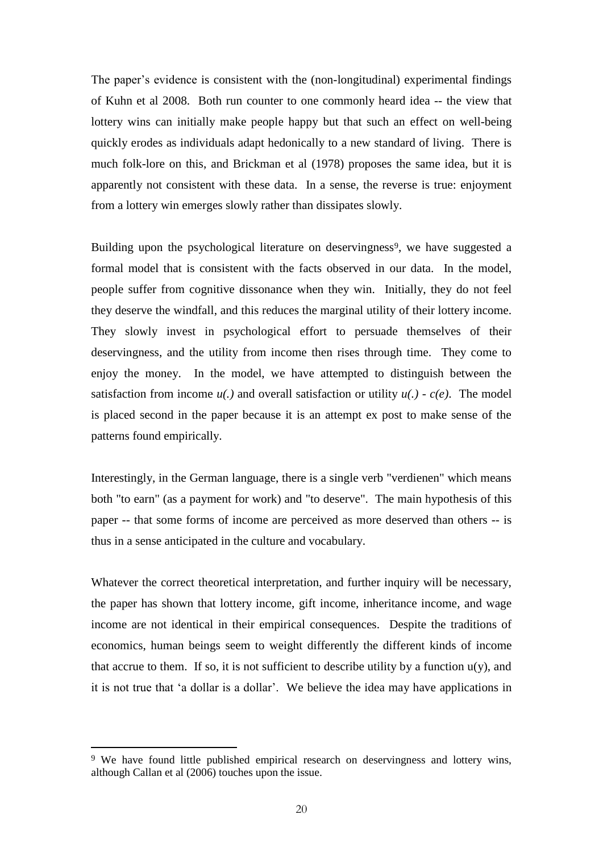The paper's evidence is consistent with the (non-longitudinal) experimental findings of Kuhn et al 2008. Both run counter to one commonly heard idea -- the view that lottery wins can initially make people happy but that such an effect on well-being quickly erodes as individuals adapt hedonically to a new standard of living. There is much folk-lore on this, and Brickman et al (1978) proposes the same idea, but it is apparently not consistent with these data. In a sense, the reverse is true: enjoyment from a lottery win emerges slowly rather than dissipates slowly.

Building upon the psychological literature on deservingness<sup>9</sup>, we have suggested a formal model that is consistent with the facts observed in our data. In the model, people suffer from cognitive dissonance when they win. Initially, they do not feel they deserve the windfall, and this reduces the marginal utility of their lottery income. They slowly invest in psychological effort to persuade themselves of their deservingness, and the utility from income then rises through time. They come to enjoy the money. In the model, we have attempted to distinguish between the satisfaction from income  $u(.)$  and overall satisfaction or utility  $u(.)$  -  $c(e)$ . The model is placed second in the paper because it is an attempt ex post to make sense of the patterns found empirically.

Interestingly, in the German language, there is a single verb "verdienen" which means both "to earn" (as a payment for work) and "to deserve". The main hypothesis of this paper -- that some forms of income are perceived as more deserved than others -- is thus in a sense anticipated in the culture and vocabulary.

Whatever the correct theoretical interpretation, and further inquiry will be necessary, the paper has shown that lottery income, gift income, inheritance income, and wage income are not identical in their empirical consequences. Despite the traditions of economics, human beings seem to weight differently the different kinds of income that accrue to them. If so, it is not sufficient to describe utility by a function  $u(y)$ , and it is not true that ‗a dollar is a dollar'. We believe the idea may have applications in

1

<sup>&</sup>lt;sup>9</sup> We have found little published empirical research on deservingness and lottery wins, although Callan et al (2006) touches upon the issue.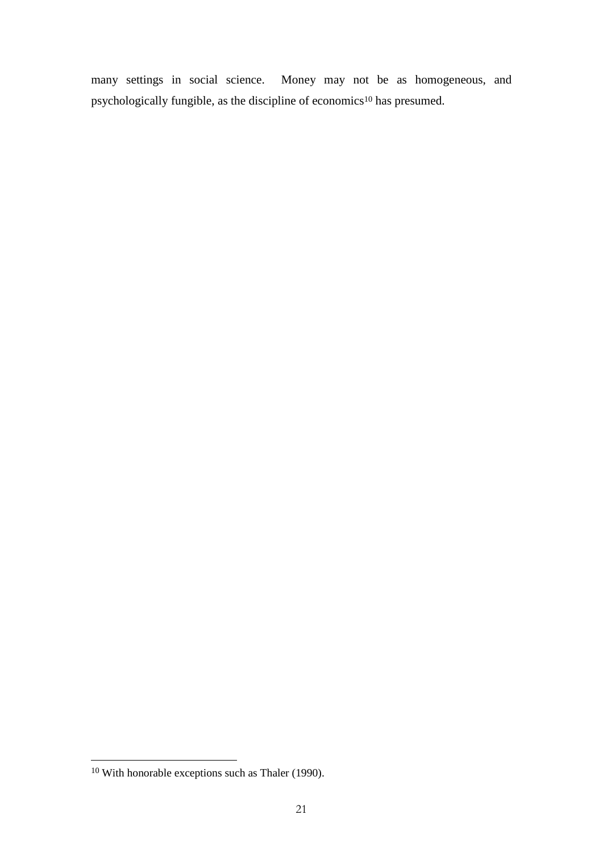many settings in social science. Money may not be as homogeneous, and psychologically fungible, as the discipline of economics<sup>10</sup> has presumed.

<u>.</u>

<sup>10</sup> With honorable exceptions such as Thaler (1990).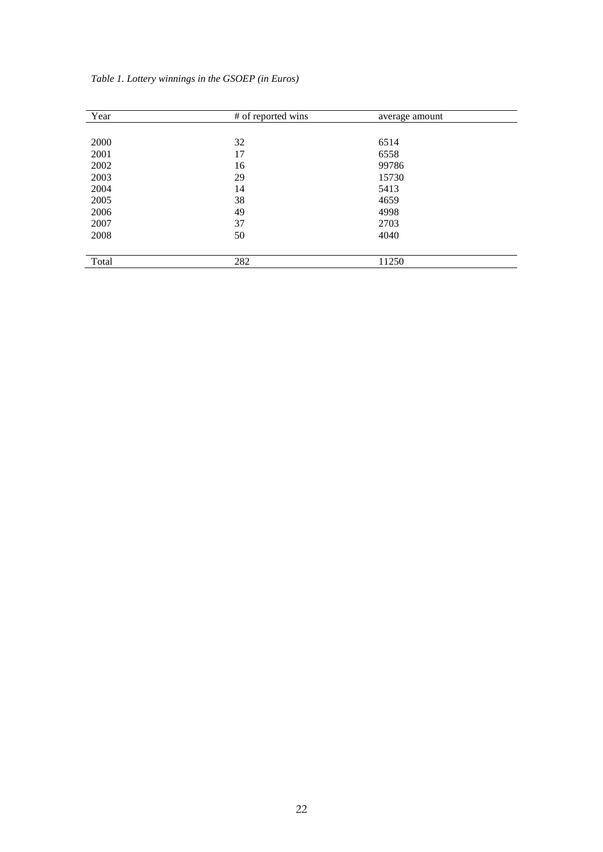| Year  | # of reported wins | average amount |  |
|-------|--------------------|----------------|--|
|       |                    |                |  |
| 2000  | 32                 | 6514           |  |
| 2001  | 17                 | 6558           |  |
| 2002  | 16                 | 99786          |  |
| 2003  | 29                 | 15730          |  |
| 2004  | 14                 | 5413           |  |
| 2005  | 38                 | 4659           |  |
| 2006  | 49                 | 4998           |  |
| 2007  | 37                 | 2703           |  |
| 2008  | 50                 | 4040           |  |
|       |                    |                |  |
| Total | 282                | 11250          |  |

*Table 1. Lottery winnings in the GSOEP (in Euros)*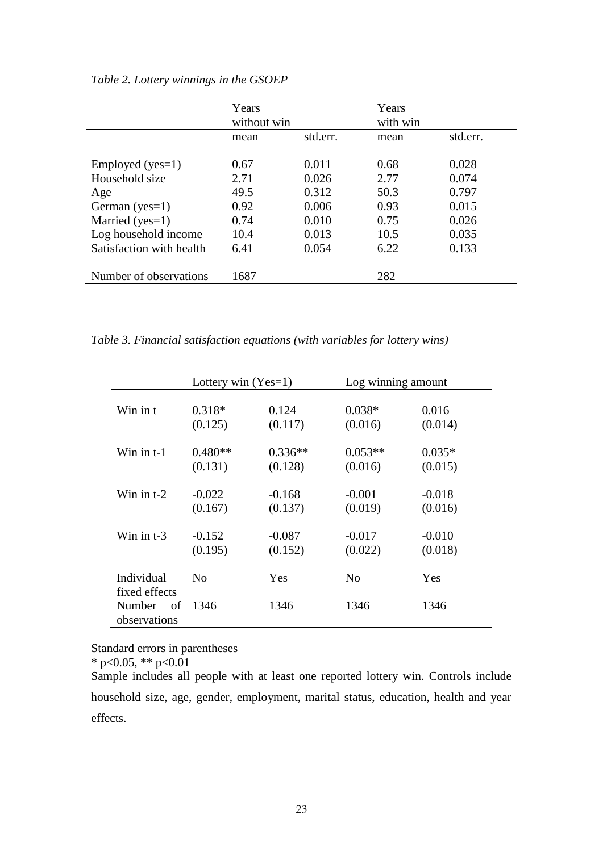|                          | Years<br>without win |          | Years<br>with win |          |
|--------------------------|----------------------|----------|-------------------|----------|
|                          | mean                 | std.err. | mean              | std.err. |
|                          |                      |          |                   |          |
| Employed ( $yes=1$ )     | 0.67                 | 0.011    | 0.68              | 0.028    |
| Household size           | 2.71                 | 0.026    | 2.77              | 0.074    |
| Age                      | 49.5                 | 0.312    | 50.3              | 0.797    |
| German ( $yes=1$ )       | 0.92                 | 0.006    | 0.93              | 0.015    |
| Married ( $yes=1$ )      | 0.74                 | 0.010    | 0.75              | 0.026    |
| Log household income     | 10.4                 | 0.013    | 10.5              | 0.035    |
| Satisfaction with health | 6.41                 | 0.054    | 6.22              | 0.133    |
|                          |                      |          |                   |          |
| Number of observations   | 1687                 |          | 282               |          |

*Table 2. Lottery winnings in the GSOEP*

*Table 3. Financial satisfaction equations (with variables for lottery wins)*

|                             | Lottery win $(Yes=1)$ |            | Log winning amount |            |  |
|-----------------------------|-----------------------|------------|--------------------|------------|--|
| Win in t                    | $0.318*$              | 0.124      | $0.038*$           | 0.016      |  |
|                             | (0.125)               | (0.117)    | (0.016)            | (0.014)    |  |
| Win in t-1                  | $0.480**$             | $0.336**$  | $0.053**$          | $0.035*$   |  |
|                             | (0.131)               | (0.128)    | (0.016)            | (0.015)    |  |
| Win in $t-2$                | $-0.022$              | $-0.168$   | $-0.001$           | $-0.018$   |  |
|                             | (0.167)               | (0.137)    | (0.019)            | (0.016)    |  |
| Win in $t-3$                | $-0.152$              | $-0.087$   | $-0.017$           | $-0.010$   |  |
|                             | (0.195)               | (0.152)    | (0.022)            | (0.018)    |  |
| Individual<br>fixed effects | $\overline{N}$        | <b>Yes</b> | N <sub>0</sub>     | <b>Yes</b> |  |
| Number of<br>observations   | 1346                  | 1346       | 1346               | 1346       |  |

Standard errors in parentheses

 $*$  p<0.05,  $*$  p  $>0.01$ 

Sample includes all people with at least one reported lottery win. Controls include household size, age, gender, employment, marital status, education, health and year effects.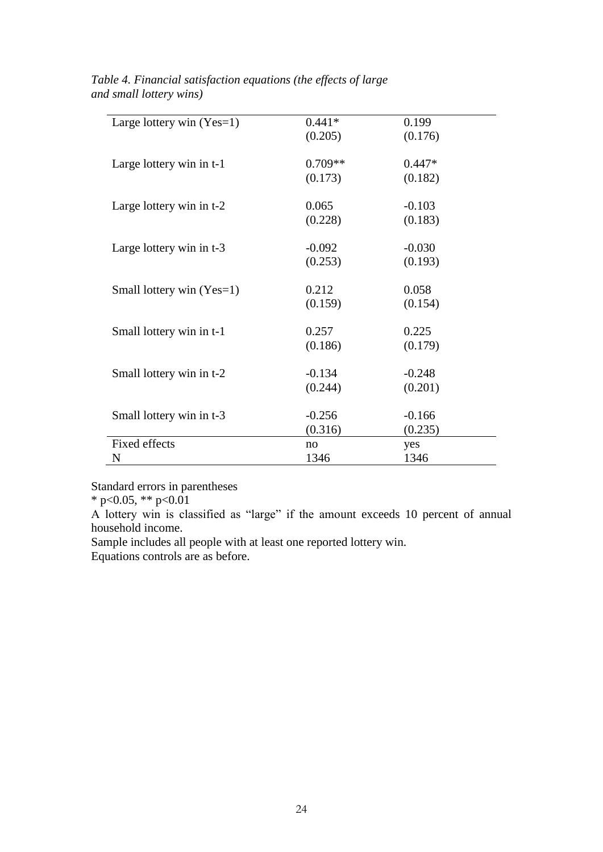|                             | $0.441*$  | 0.199    |
|-----------------------------|-----------|----------|
| Large lottery win $(Yes=1)$ |           |          |
|                             | (0.205)   | (0.176)  |
|                             |           |          |
| Large lottery win in t-1    | $0.709**$ | $0.447*$ |
|                             | (0.173)   | (0.182)  |
|                             |           |          |
|                             |           |          |
| Large lottery win in t-2    | 0.065     | $-0.103$ |
|                             | (0.228)   | (0.183)  |
|                             |           |          |
| Large lottery win in t-3    | $-0.092$  | $-0.030$ |
|                             | (0.253)   | (0.193)  |
|                             |           |          |
| Small lottery win (Yes=1)   | 0.212     | 0.058    |
|                             |           |          |
|                             | (0.159)   | (0.154)  |
|                             |           |          |
| Small lottery win in t-1    | 0.257     | 0.225    |
|                             | (0.186)   | (0.179)  |
|                             |           |          |
| Small lottery win in t-2    | $-0.134$  | $-0.248$ |
|                             | (0.244)   | (0.201)  |
|                             |           |          |
|                             |           |          |
| Small lottery win in t-3    | $-0.256$  | $-0.166$ |
|                             | (0.316)   | (0.235)  |
| Fixed effects               | no        | yes      |
| N                           | 1346      | 1346     |

*Table 4. Financial satisfaction equations (the effects of large and small lottery wins)*

Standard errors in parentheses

 $*$  p<0.05,  $*$  p <0.01

A lottery win is classified as "large" if the amount exceeds 10 percent of annual household income.

Sample includes all people with at least one reported lottery win.

Equations controls are as before.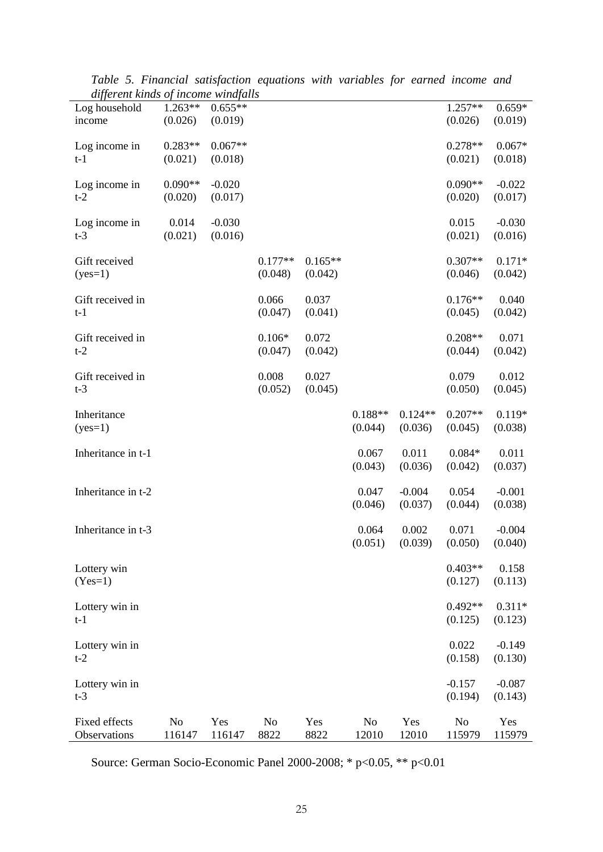| ayjerent kinus of theome windfulls |                          |                      |                        |                      |                         |                      |                      |                     |
|------------------------------------|--------------------------|----------------------|------------------------|----------------------|-------------------------|----------------------|----------------------|---------------------|
| Log household<br>income            | $1.263**$<br>(0.026)     | $0.655**$<br>(0.019) |                        |                      |                         |                      | $1.257**$<br>(0.026) | $0.659*$<br>(0.019) |
| Log income in<br>$t-1$             | $0.283**$<br>(0.021)     | $0.067**$<br>(0.018) |                        |                      |                         |                      | $0.278**$<br>(0.021) | $0.067*$<br>(0.018) |
| Log income in                      | $0.090**$                | $-0.020$             |                        |                      |                         |                      | $0.090**$            | $-0.022$            |
| $t-2$                              | (0.020)                  | (0.017)              |                        |                      |                         |                      | (0.020)              | (0.017)             |
| Log income in<br>$t-3$             | 0.014<br>(0.021)         | $-0.030$<br>(0.016)  |                        |                      |                         |                      | 0.015<br>(0.021)     | $-0.030$<br>(0.016) |
| Gift received<br>$(yes=1)$         |                          |                      | $0.177**$<br>(0.048)   | $0.165**$<br>(0.042) |                         |                      | $0.307**$<br>(0.046) | $0.171*$<br>(0.042) |
| Gift received in<br>$t-1$          |                          |                      | 0.066<br>(0.047)       | 0.037<br>(0.041)     |                         |                      | $0.176**$<br>(0.045) | 0.040<br>(0.042)    |
| Gift received in<br>$t-2$          |                          |                      | $0.106*$<br>(0.047)    | 0.072<br>(0.042)     |                         |                      | $0.208**$<br>(0.044) | 0.071<br>(0.042)    |
| Gift received in<br>$t-3$          |                          |                      | 0.008<br>(0.052)       | 0.027<br>(0.045)     |                         |                      | 0.079<br>(0.050)     | 0.012<br>(0.045)    |
| Inheritance<br>$(yes=1)$           |                          |                      |                        |                      | $0.188**$<br>(0.044)    | $0.124**$<br>(0.036) | $0.207**$<br>(0.045) | $0.119*$<br>(0.038) |
| Inheritance in t-1                 |                          |                      |                        |                      | 0.067<br>(0.043)        | 0.011<br>(0.036)     | $0.084*$<br>(0.042)  | 0.011<br>(0.037)    |
| Inheritance in t-2                 |                          |                      |                        |                      | 0.047<br>(0.046)        | $-0.004$<br>(0.037)  | 0.054<br>(0.044)     | $-0.001$<br>(0.038) |
| Inheritance in t-3                 |                          |                      |                        |                      | 0.064<br>(0.051)        | 0.002<br>(0.039)     | 0.071<br>(0.050)     | $-0.004$<br>(0.040) |
| Lottery win<br>$(Yes=1)$           |                          |                      |                        |                      |                         |                      | $0.403**$<br>(0.127) | 0.158<br>(0.113)    |
| Lottery win in<br>$t-1$            |                          |                      |                        |                      |                         |                      | $0.492**$<br>(0.125) | $0.311*$<br>(0.123) |
| Lottery win in<br>$t-2$            |                          |                      |                        |                      |                         |                      | 0.022<br>(0.158)     | $-0.149$<br>(0.130) |
| Lottery win in<br>$t-3$            |                          |                      |                        |                      |                         |                      | $-0.157$<br>(0.194)  | $-0.087$<br>(0.143) |
| Fixed effects<br>Observations      | N <sub>o</sub><br>116147 | Yes<br>116147        | N <sub>o</sub><br>8822 | Yes<br>8822          | N <sub>o</sub><br>12010 | Yes<br>12010         | No<br>115979         | Yes<br>115979       |

*Table 5. Financial satisfaction equations with variables for earned income and different kinds of income windfalls*

Source: German Socio-Economic Panel 2000-2008; \* p<0.05, \*\* p<0.01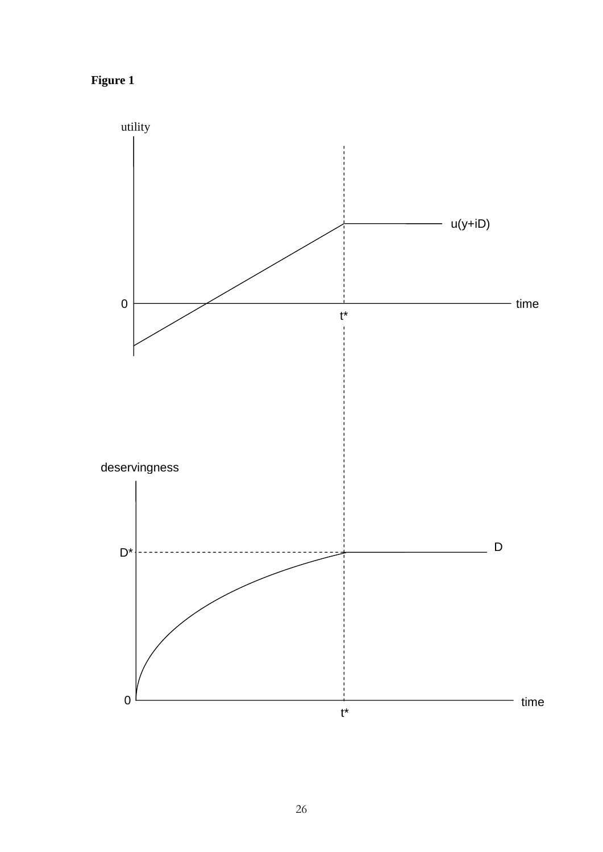**Figure 1**

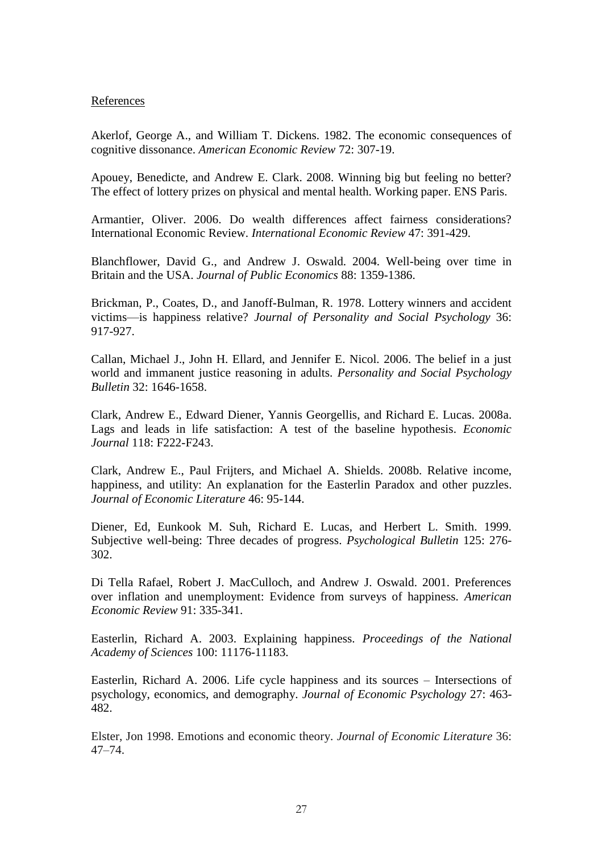### References

Akerlof, George A., and William T. Dickens. 1982. [The economic consequences of](http://ideas.repec.org/a/aea/aecrev/v72y1982i3p307-19.html)  [cognitive dissonance.](http://ideas.repec.org/a/aea/aecrev/v72y1982i3p307-19.html) *[American Economic Review](http://ideas.repec.org/s/aea/aecrev.html)* 72: 307-19.

Apouey, Benedicte, and Andrew E. Clark. 2008. Winning big but feeling no better? The effect of lottery prizes on physical and mental health. Working paper. ENS Paris.

Armantier, Oliver. 2006. Do wealth differences affect fairness considerations? International Economic Review. *International Economic Review* 47: 391-429.

Blanchflower, David G., and Andrew J. Oswald. 2004. Well-being over time in Britain and the USA. *Journal of Public Economics* 88: 1359-1386.

Brickman, P., Coates, D., and Janoff-Bulman, R. 1978. Lottery winners and accident victims—is happiness relative? *Journal of Personality and Social Psychology* 36: 917-927.

Callan, Michael J., John H. Ellard, and Jennifer E. Nicol. 2006. The belief in a just world and immanent justice reasoning in adults. *Personality and Social Psychology Bulletin* 32: 1646-1658.

Clark, Andrew E., Edward Diener, Yannis Georgellis, and Richard E. Lucas. 2008a. Lags and leads in life satisfaction: A test of the baseline hypothesis. *Economic Journal* 118: F222-F243.

Clark, Andrew E., Paul Frijters, and Michael A. Shields. 2008b. Relative income, happiness, and utility: An explanation for the Easterlin Paradox and other puzzles. *Journal of Economic Literature* 46: 95-144.

Diener, Ed, Eunkook M. Suh, Richard E. Lucas, and Herbert L. Smith. 1999. Subjective well-being: Three decades of progress. *Psychological Bulletin* 125: 276- 302.

Di Tella Rafael, Robert J. MacCulloch, and Andrew J. Oswald. 2001. Preferences over inflation and unemployment: Evidence from surveys of happiness. *American Economic Review* 91: 335-341.

Easterlin, Richard A. 2003. Explaining happiness. *Proceedings of the National Academy of Sciences* 100: 11176-11183.

Easterlin, Richard A. 2006. Life cycle happiness and its sources – Intersections of psychology, economics, and demography. *Journal of Economic Psychology* 27: 463- 482.

Elster, Jon 1998. Emotions and economic theory. *Journal of Economic Literature* 36: 47–74.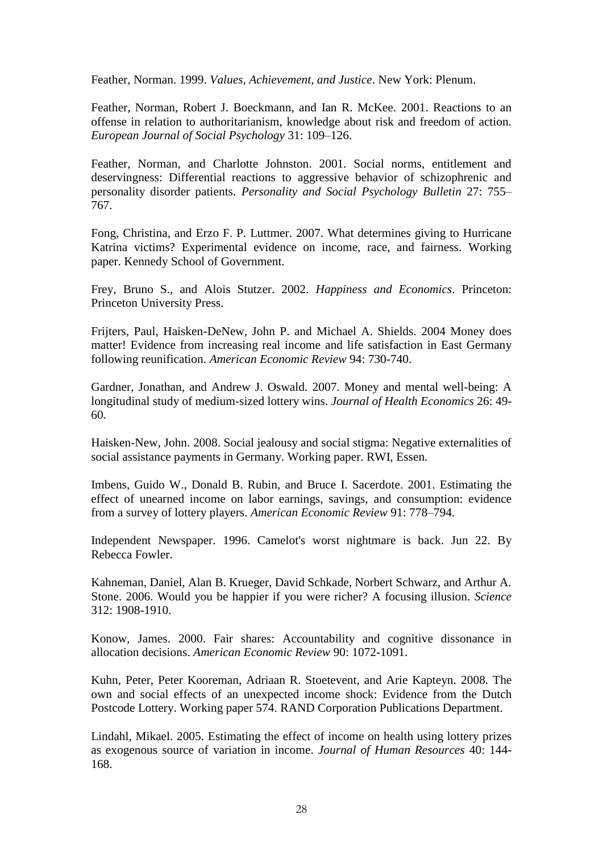Feather, Norman. 1999. *Values, Achievement, and Justice*. New York: Plenum.

Feather, Norman, Robert J. Boeckmann, and Ian R. McKee. 2001. Reactions to an offense in relation to authoritarianism, knowledge about risk and freedom of action. *European Journal of Social Psychology* 31: 109–126.

Feather, Norman, and Charlotte Johnston. 2001. Social norms, entitlement and deservingness: Differential reactions to aggressive behavior of schizophrenic and personality disorder patients. *Personality and Social Psychology Bulletin* 27: 755– 767.

Fong, Christina, and Erzo F. P. Luttmer. 2007. What determines giving to Hurricane Katrina victims? Experimental evidence on income, race, and fairness. Working paper. Kennedy School of Government.

Frey, Bruno S., and Alois Stutzer. 2002. *Happiness and Economics*. Princeton: Princeton University Press.

Frijters, Paul, Haisken-DeNew, John P. and Michael A. Shields. 2004 Money does matter! Evidence from increasing real income and life satisfaction in East Germany following reunification. *American Economic Review* 94: 730-740.

Gardner, Jonathan, and Andrew J. Oswald. 2007. Money and mental well-being: A longitudinal study of medium-sized lottery wins. *Journal of Health Economics* 26: 49- 60.

Haisken-New, John. 2008. Social jealousy and social stigma: Negative externalities of social assistance payments in Germany. Working paper. RWI, Essen.

Imbens, Guido W., Donald B. Rubin, and Bruce I. Sacerdote. 2001. Estimating the effect of unearned income on labor earnings, savings, and consumption: evidence from a survey of lottery players. *American Economic Review* 91: 778–794.

Independent Newspaper. 1996. Camelot's worst nightmare is back. Jun 22. By Rebecca Fowler.

Kahneman, Daniel, Alan B. Krueger, David Schkade, Norbert Schwarz, and Arthur A. Stone. 2006. Would you be happier if you were richer? A focusing illusion. *Science*  312: 1908-1910.

Konow, James. 2000. Fair shares: Accountability and cognitive dissonance in allocation decisions. *American Economic Review* 90: 1072-1091.

Kuhn, Peter, Peter Kooreman, Adriaan R. Stoetevent, and Arie Kapteyn. 2008. [The](http://ideas.repec.org/p/ran/wpaper/574.html)  [own and social effects of an unexpected income shock: Evidence from the Dutch](http://ideas.repec.org/p/ran/wpaper/574.html)  [Postcode Lottery.](http://ideas.repec.org/p/ran/wpaper/574.html) [Working](http://ideas.repec.org/s/ran/wpaper.html) paper 574. RAND Corporation Publications Department.

Lindahl, Mikael. 2005. Estimating the effect of income on health using lottery prizes as exogenous source of variation in income. *Journal of Human Resources* 40: 144- 168.